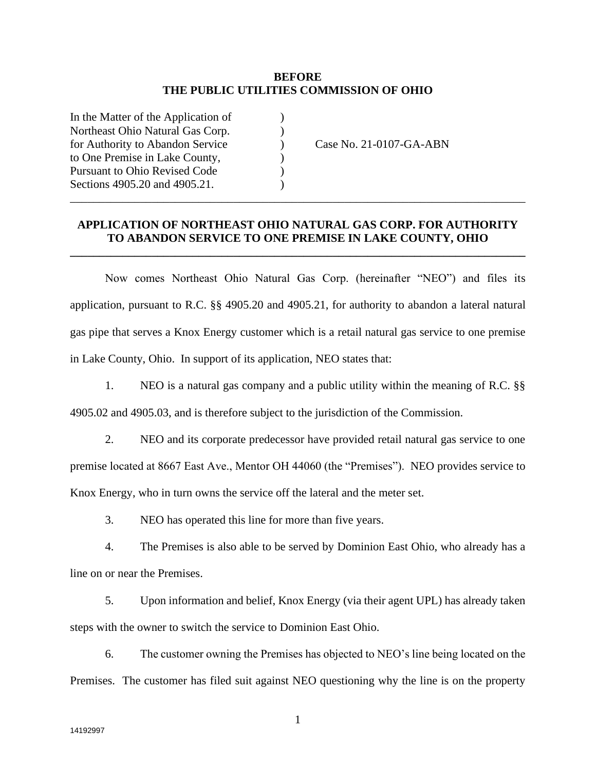## **BEFORE THE PUBLIC UTILITIES COMMISSION OF OHIO**

| In the Matter of the Application of  |                         |
|--------------------------------------|-------------------------|
| Northeast Ohio Natural Gas Corp.     |                         |
| for Authority to Abandon Service     | Case No. 21-0107-GA-ABN |
| to One Premise in Lake County,       |                         |
| <b>Pursuant to Ohio Revised Code</b> |                         |
| Sections 4905.20 and 4905.21.        |                         |
|                                      |                         |

## **APPLICATION OF NORTHEAST OHIO NATURAL GAS CORP. FOR AUTHORITY TO ABANDON SERVICE TO ONE PREMISE IN LAKE COUNTY, OHIO**

**\_\_\_\_\_\_\_\_\_\_\_\_\_\_\_\_\_\_\_\_\_\_\_\_\_\_\_\_\_\_\_\_\_\_\_\_\_\_\_\_\_\_\_\_\_\_\_\_\_\_\_\_\_\_\_\_\_\_\_\_\_\_\_\_\_\_\_\_\_\_\_\_\_\_\_\_\_\_**

Now comes Northeast Ohio Natural Gas Corp. (hereinafter "NEO") and files its application, pursuant to R.C. §§ 4905.20 and 4905.21, for authority to abandon a lateral natural gas pipe that serves a Knox Energy customer which is a retail natural gas service to one premise in Lake County, Ohio. In support of its application, NEO states that:

1. NEO is a natural gas company and a public utility within the meaning of R.C. §§ 4905.02 and 4905.03, and is therefore subject to the jurisdiction of the Commission.

2. NEO and its corporate predecessor have provided retail natural gas service to one premise located at 8667 East Ave., Mentor OH 44060 (the "Premises"). NEO provides service to Knox Energy, who in turn owns the service off the lateral and the meter set.

3. NEO has operated this line for more than five years.

4. The Premises is also able to be served by Dominion East Ohio, who already has a line on or near the Premises.

5. Upon information and belief, Knox Energy (via their agent UPL) has already taken steps with the owner to switch the service to Dominion East Ohio.

6. The customer owning the Premises has objected to NEO's line being located on the Premises. The customer has filed suit against NEO questioning why the line is on the property

1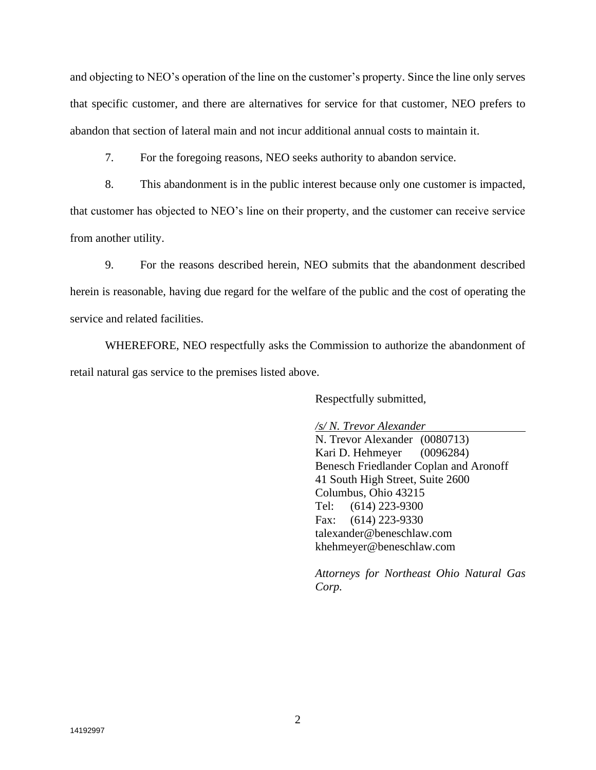and objecting to NEO's operation of the line on the customer's property. Since the line only serves that specific customer, and there are alternatives for service for that customer, NEO prefers to abandon that section of lateral main and not incur additional annual costs to maintain it.

7. For the foregoing reasons, NEO seeks authority to abandon service.

8. This abandonment is in the public interest because only one customer is impacted,

that customer has objected to NEO's line on their property, and the customer can receive service from another utility.

9. For the reasons described herein, NEO submits that the abandonment described herein is reasonable, having due regard for the welfare of the public and the cost of operating the service and related facilities.

WHEREFORE, NEO respectfully asks the Commission to authorize the abandonment of retail natural gas service to the premises listed above.

Respectfully submitted,

*/s/ N. Trevor Alexander*

N. Trevor Alexander (0080713) Kari D. Hehmeyer (0096284) Benesch Friedlander Coplan and Aronoff 41 South High Street, Suite 2600 Columbus, Ohio 43215 Tel: (614) 223-9300 Fax: (614) 223-9330 talexander@beneschlaw.com khehmeyer@beneschlaw.com

*Attorneys for Northeast Ohio Natural Gas Corp.*